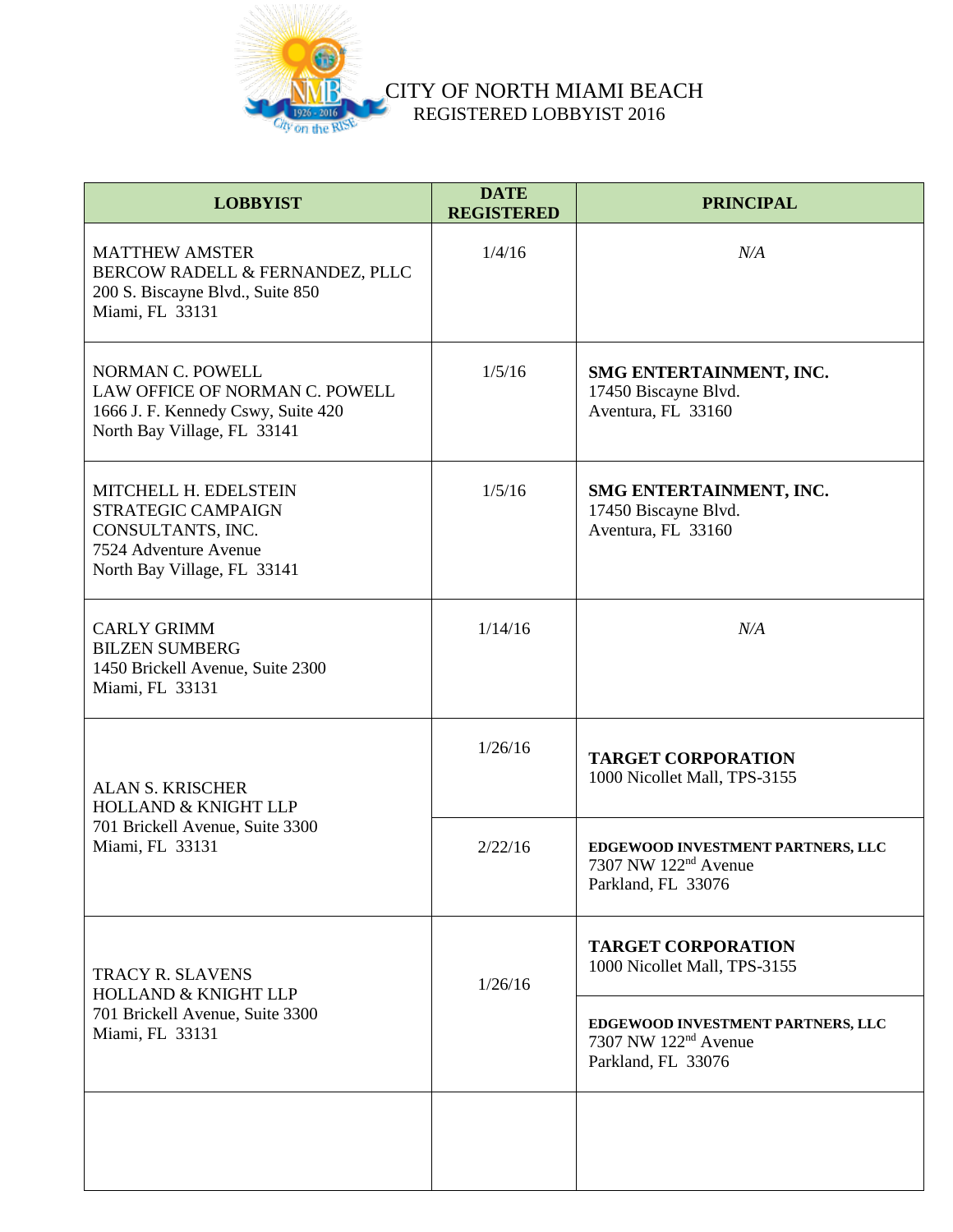

| <b>LOBBYIST</b>                                                                                                                 | <b>DATE</b><br><b>REGISTERED</b> | <b>PRINCIPAL</b>                                                                            |
|---------------------------------------------------------------------------------------------------------------------------------|----------------------------------|---------------------------------------------------------------------------------------------|
| <b>MATTHEW AMSTER</b><br>BERCOW RADELL & FERNANDEZ, PLLC<br>200 S. Biscayne Blvd., Suite 850<br>Miami, FL 33131                 | 1/4/16                           | N/A                                                                                         |
| <b>NORMAN C. POWELL</b><br>LAW OFFICE OF NORMAN C. POWELL<br>1666 J. F. Kennedy Cswy, Suite 420<br>North Bay Village, FL 33141  | 1/5/16                           | SMG ENTERTAINMENT, INC.<br>17450 Biscayne Blvd.<br>Aventura, FL 33160                       |
| MITCHELL H. EDELSTEIN<br><b>STRATEGIC CAMPAIGN</b><br>CONSULTANTS, INC.<br>7524 Adventure Avenue<br>North Bay Village, FL 33141 | 1/5/16                           | SMG ENTERTAINMENT, INC.<br>17450 Biscayne Blvd.<br>Aventura, FL 33160                       |
| <b>CARLY GRIMM</b><br><b>BILZEN SUMBERG</b><br>1450 Brickell Avenue, Suite 2300<br>Miami, FL 33131                              | 1/14/16                          | N/A                                                                                         |
| <b>ALAN S. KRISCHER</b><br><b>HOLLAND &amp; KNIGHT LLP</b><br>701 Brickell Avenue, Suite 3300<br>Miami, FL 33131                | 1/26/16                          | <b>TARGET CORPORATION</b><br>1000 Nicollet Mall, TPS-3155                                   |
|                                                                                                                                 | 2/22/16                          | EDGEWOOD INVESTMENT PARTNERS, LLC<br>7307 NW 122 <sup>nd</sup> Avenue<br>Parkland, FL 33076 |
| <b>TRACY R. SLAVENS</b><br><b>HOLLAND &amp; KNIGHT LLP</b><br>701 Brickell Avenue, Suite 3300<br>Miami, FL 33131                | 1/26/16                          | <b>TARGET CORPORATION</b><br>1000 Nicollet Mall, TPS-3155                                   |
|                                                                                                                                 |                                  | EDGEWOOD INVESTMENT PARTNERS, LLC<br>7307 NW 122 <sup>nd</sup> Avenue<br>Parkland, FL 33076 |
|                                                                                                                                 |                                  |                                                                                             |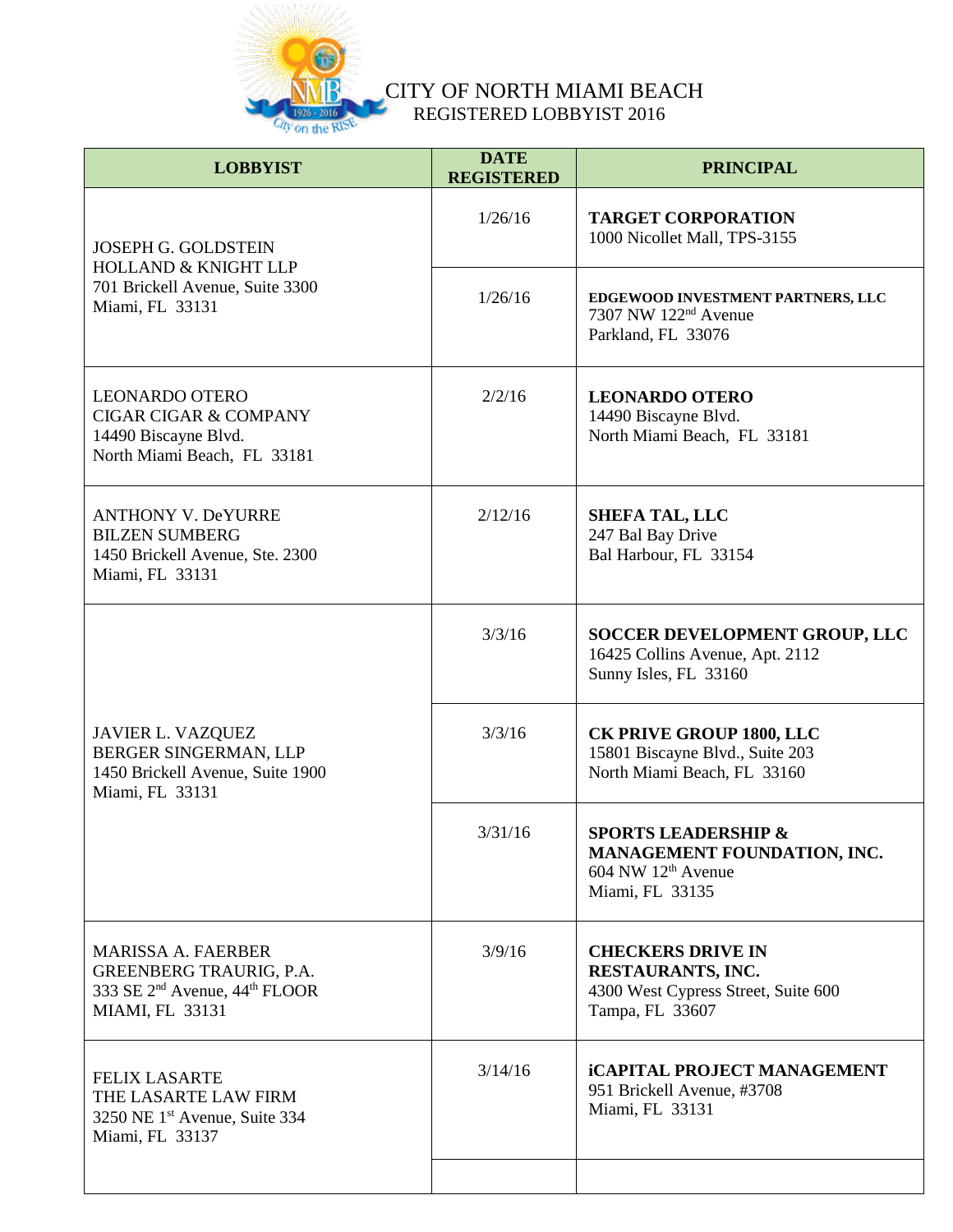

| <b>LOBBYIST</b>                                                                                                                                | <b>DATE</b><br><b>REGISTERED</b> | <b>PRINCIPAL</b>                                                                                           |
|------------------------------------------------------------------------------------------------------------------------------------------------|----------------------------------|------------------------------------------------------------------------------------------------------------|
| <b>JOSEPH G. GOLDSTEIN</b><br><b>HOLLAND &amp; KNIGHT LLP</b><br>701 Brickell Avenue, Suite 3300<br>Miami, FL 33131                            | 1/26/16                          | <b>TARGET CORPORATION</b><br>1000 Nicollet Mall, TPS-3155                                                  |
|                                                                                                                                                | 1/26/16                          | EDGEWOOD INVESTMENT PARTNERS, LLC<br>7307 NW 122 <sup>nd</sup> Avenue<br>Parkland, FL 33076                |
| <b>LEONARDO OTERO</b><br><b>CIGAR CIGAR &amp; COMPANY</b><br>14490 Biscayne Blvd.<br>North Miami Beach, FL 33181                               | 2/2/16                           | <b>LEONARDO OTERO</b><br>14490 Biscayne Blvd.<br>North Miami Beach, FL 33181                               |
| <b>ANTHONY V. DeYURRE</b><br><b>BILZEN SUMBERG</b><br>1450 Brickell Avenue, Ste. 2300<br>Miami, FL 33131                                       | 2/12/16                          | <b>SHEFA TAL, LLC</b><br>247 Bal Bay Drive<br>Bal Harbour, FL 33154                                        |
| <b>JAVIER L. VAZQUEZ</b><br>BERGER SINGERMAN, LLP<br>1450 Brickell Avenue, Suite 1900<br>Miami, FL 33131                                       | 3/3/16                           | SOCCER DEVELOPMENT GROUP, LLC<br>16425 Collins Avenue, Apt. 2112<br>Sunny Isles, FL 33160                  |
|                                                                                                                                                | 3/3/16                           | <b>CK PRIVE GROUP 1800, LLC</b><br>15801 Biscayne Blvd., Suite 203<br>North Miami Beach, FL 33160          |
|                                                                                                                                                | 3/31/16                          | <b>SPORTS LEADERSHIP &amp;</b><br>MANAGEMENT FOUNDATION, INC.<br>$604$ NW $12th$ Avenue<br>Miami, FL 33135 |
| <b>MARISSA A. FAERBER</b><br><b>GREENBERG TRAURIG, P.A.</b><br>333 SE 2 <sup>nd</sup> Avenue, 44 <sup>th</sup> FLOOR<br><b>MIAMI, FL 33131</b> | 3/9/16                           | <b>CHECKERS DRIVE IN</b><br>RESTAURANTS, INC.<br>4300 West Cypress Street, Suite 600<br>Tampa, FL 33607    |
| <b>FELIX LASARTE</b><br>THE LASARTE LAW FIRM<br>3250 NE 1 <sup>st</sup> Avenue, Suite 334<br>Miami, FL 33137                                   | 3/14/16                          | <b>iCAPITAL PROJECT MANAGEMENT</b><br>951 Brickell Avenue, #3708<br>Miami, FL 33131                        |
|                                                                                                                                                |                                  |                                                                                                            |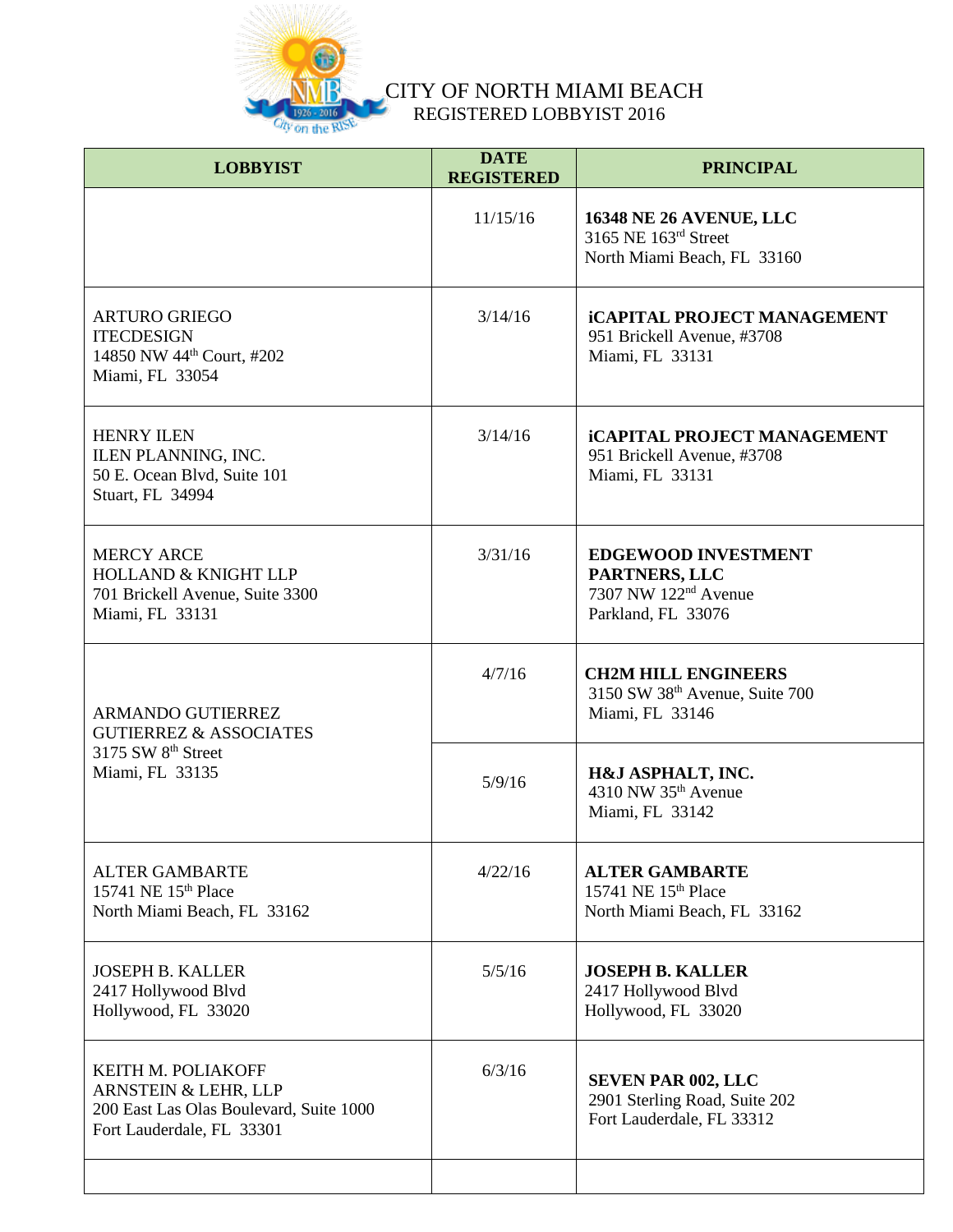

| <b>LOBBYIST</b>                                                                                                    | <b>DATE</b><br><b>REGISTERED</b> | <b>PRINCIPAL</b>                                                                                      |
|--------------------------------------------------------------------------------------------------------------------|----------------------------------|-------------------------------------------------------------------------------------------------------|
|                                                                                                                    | 11/15/16                         | <b>16348 NE 26 AVENUE, LLC</b><br>3165 NE 163rd Street<br>North Miami Beach, FL 33160                 |
| <b>ARTURO GRIEGO</b><br><b>ITECDESIGN</b><br>14850 NW 44 <sup>th</sup> Court, #202<br>Miami, FL 33054              | 3/14/16                          | <b>iCAPITAL PROJECT MANAGEMENT</b><br>951 Brickell Avenue, #3708<br>Miami, FL 33131                   |
| <b>HENRY ILEN</b><br>ILEN PLANNING, INC.<br>50 E. Ocean Blvd, Suite 101<br>Stuart, FL 34994                        | 3/14/16                          | <b>iCAPITAL PROJECT MANAGEMENT</b><br>951 Brickell Avenue, #3708<br>Miami, FL 33131                   |
| <b>MERCY ARCE</b><br><b>HOLLAND &amp; KNIGHT LLP</b><br>701 Brickell Avenue, Suite 3300<br>Miami, FL 33131         | 3/31/16                          | <b>EDGEWOOD INVESTMENT</b><br>PARTNERS, LLC<br>7307 NW 122 <sup>nd</sup> Avenue<br>Parkland, FL 33076 |
| <b>ARMANDO GUTIERREZ</b><br><b>GUTIERREZ &amp; ASSOCIATES</b><br>3175 SW 8 <sup>th</sup> Street<br>Miami, FL 33135 | 4/7/16                           | <b>CH2M HILL ENGINEERS</b><br>3150 SW 38th Avenue, Suite 700<br>Miami, FL 33146                       |
|                                                                                                                    | 5/9/16                           | H&J ASPHALT, INC.<br>4310 NW 35 <sup>th</sup> Avenue<br>Miami, FL 33142                               |
| <b>ALTER GAMBARTE</b><br>15741 NE 15th Place<br>North Miami Beach, FL 33162                                        | 4/22/16                          | <b>ALTER GAMBARTE</b><br>15741 NE 15th Place<br>North Miami Beach, FL 33162                           |
| <b>JOSEPH B. KALLER</b><br>2417 Hollywood Blvd<br>Hollywood, FL 33020                                              | 5/5/16                           | <b>JOSEPH B. KALLER</b><br>2417 Hollywood Blvd<br>Hollywood, FL 33020                                 |
| KEITH M. POLIAKOFF<br>ARNSTEIN & LEHR, LLP<br>200 East Las Olas Boulevard, Suite 1000<br>Fort Lauderdale, FL 33301 | 6/3/16                           | <b>SEVEN PAR 002, LLC</b><br>2901 Sterling Road, Suite 202<br>Fort Lauderdale, FL 33312               |
|                                                                                                                    |                                  |                                                                                                       |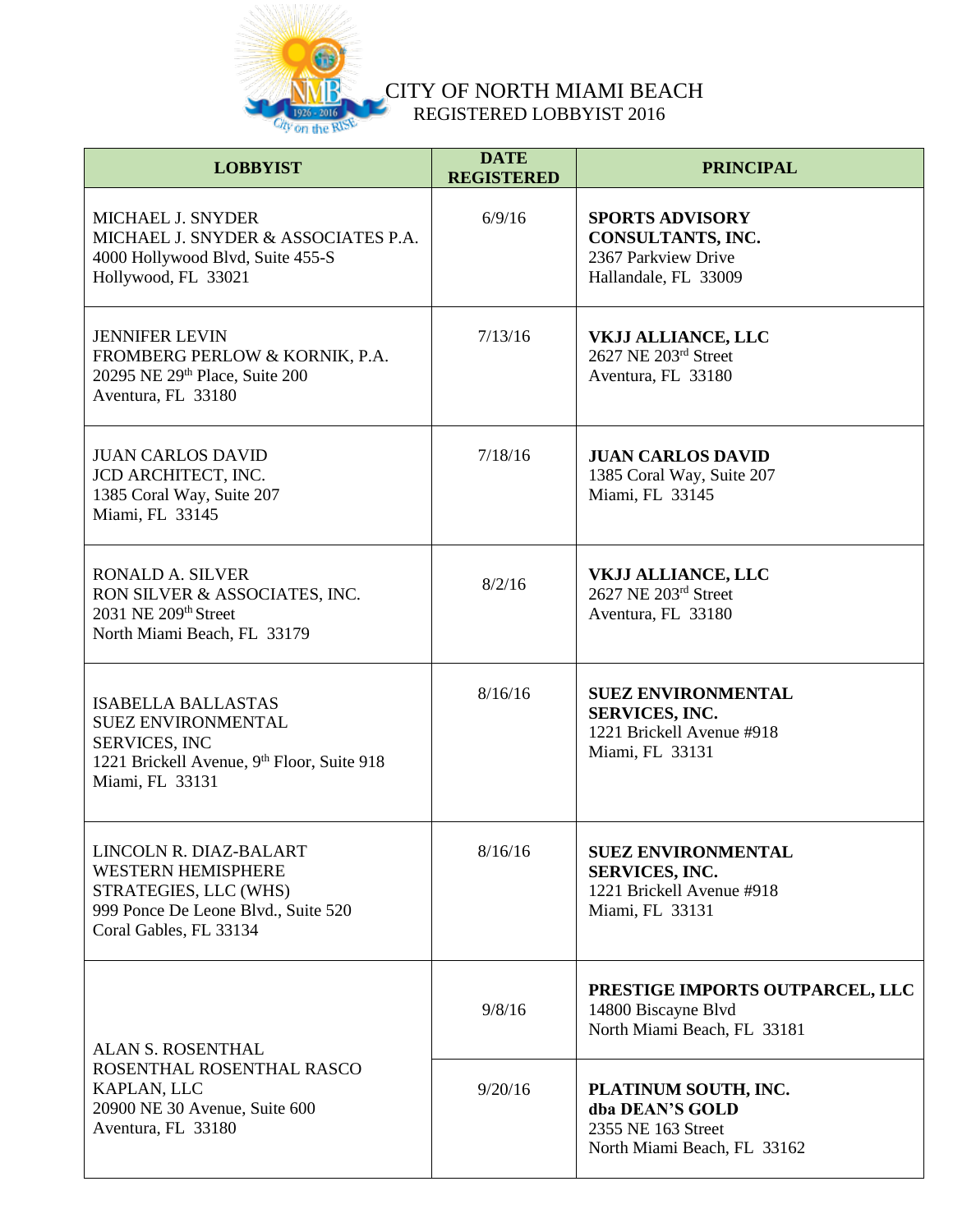

| <b>LOBBYIST</b>                                                                                                                                 | <b>DATE</b><br><b>REGISTERED</b> | <b>PRINCIPAL</b>                                                                                   |
|-------------------------------------------------------------------------------------------------------------------------------------------------|----------------------------------|----------------------------------------------------------------------------------------------------|
| MICHAEL J. SNYDER<br>MICHAEL J. SNYDER & ASSOCIATES P.A.<br>4000 Hollywood Blvd, Suite 455-S<br>Hollywood, FL 33021                             | 6/9/16                           | <b>SPORTS ADVISORY</b><br>CONSULTANTS, INC.<br>2367 Parkview Drive<br>Hallandale, FL 33009         |
| <b>JENNIFER LEVIN</b><br>FROMBERG PERLOW & KORNIK, P.A.<br>20295 NE 29th Place, Suite 200<br>Aventura, FL 33180                                 | 7/13/16                          | <b>VKJJ ALLIANCE, LLC</b><br>2627 NE 203rd Street<br>Aventura, FL 33180                            |
| <b>JUAN CARLOS DAVID</b><br>JCD ARCHITECT, INC.<br>1385 Coral Way, Suite 207<br>Miami, FL 33145                                                 | 7/18/16                          | <b>JUAN CARLOS DAVID</b><br>1385 Coral Way, Suite 207<br>Miami, FL 33145                           |
| <b>RONALD A. SILVER</b><br>RON SILVER & ASSOCIATES, INC.<br>2031 NE 209th Street<br>North Miami Beach, FL 33179                                 | 8/2/16                           | VKJJ ALLIANCE, LLC<br>2627 NE 203rd Street<br>Aventura, FL 33180                                   |
| <b>ISABELLA BALLASTAS</b><br><b>SUEZ ENVIRONMENTAL</b><br><b>SERVICES, INC</b><br>1221 Brickell Avenue, 9th Floor, Suite 918<br>Miami, FL 33131 | 8/16/16                          | <b>SUEZ ENVIRONMENTAL</b><br><b>SERVICES, INC.</b><br>1221 Brickell Avenue #918<br>Miami, FL 33131 |
| LINCOLN R. DIAZ-BALART<br><b>WESTERN HEMISPHERE</b><br>STRATEGIES, LLC (WHS)<br>999 Ponce De Leone Blvd., Suite 520<br>Coral Gables, FL 33134   | 8/16/16                          | <b>SUEZ ENVIRONMENTAL</b><br><b>SERVICES, INC.</b><br>1221 Brickell Avenue #918<br>Miami, FL 33131 |
| ALAN S. ROSENTHAL<br>ROSENTHAL ROSENTHAL RASCO<br>KAPLAN, LLC<br>20900 NE 30 Avenue, Suite 600<br>Aventura, FL 33180                            | 9/8/16                           | PRESTIGE IMPORTS OUTPARCEL, LLC<br>14800 Biscayne Blvd<br>North Miami Beach, FL 33181              |
|                                                                                                                                                 | 9/20/16                          | PLATINUM SOUTH, INC.<br>dba DEAN'S GOLD<br>2355 NE 163 Street<br>North Miami Beach, FL 33162       |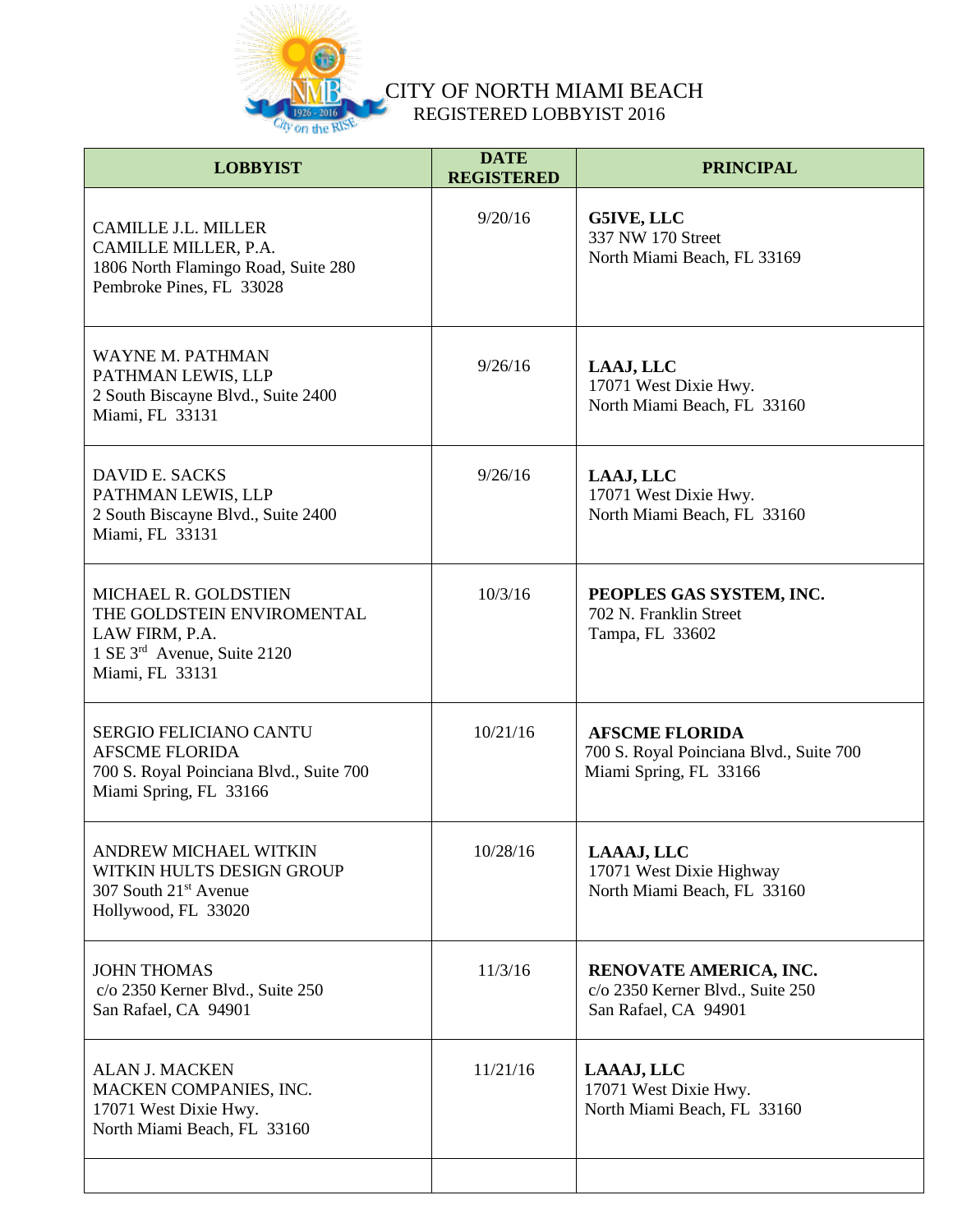

| <b>LOBBYIST</b>                                                                                                             | <b>DATE</b><br><b>REGISTERED</b> | <b>PRINCIPAL</b>                                                                           |
|-----------------------------------------------------------------------------------------------------------------------------|----------------------------------|--------------------------------------------------------------------------------------------|
| <b>CAMILLE J.L. MILLER</b><br>CAMILLE MILLER, P.A.<br>1806 North Flamingo Road, Suite 280<br>Pembroke Pines, FL 33028       | 9/20/16                          | G5IVE, LLC<br>337 NW 170 Street<br>North Miami Beach, FL 33169                             |
| <b>WAYNE M. PATHMAN</b><br>PATHMAN LEWIS, LLP<br>2 South Biscayne Blvd., Suite 2400<br>Miami, FL 33131                      | 9/26/16                          | LAAJ, LLC<br>17071 West Dixie Hwy.<br>North Miami Beach, FL 33160                          |
| <b>DAVID E. SACKS</b><br>PATHMAN LEWIS, LLP<br>2 South Biscayne Blvd., Suite 2400<br>Miami, FL 33131                        | 9/26/16                          | LAAJ, LLC<br>17071 West Dixie Hwy.<br>North Miami Beach, FL 33160                          |
| MICHAEL R. GOLDSTIEN<br>THE GOLDSTEIN ENVIROMENTAL<br>LAW FIRM, P.A.<br>1 SE 3rd Avenue, Suite 2120<br>Miami, FL 33131      | 10/3/16                          | PEOPLES GAS SYSTEM, INC.<br>702 N. Franklin Street<br>Tampa, FL 33602                      |
| <b>SERGIO FELICIANO CANTU</b><br><b>AFSCME FLORIDA</b><br>700 S. Royal Poinciana Blvd., Suite 700<br>Miami Spring, FL 33166 | 10/21/16                         | <b>AFSCME FLORIDA</b><br>700 S. Royal Poinciana Blvd., Suite 700<br>Miami Spring, FL 33166 |
| ANDREW MICHAEL WITKIN<br>WITKIN HULTS DESIGN GROUP<br>307 South 21 <sup>st</sup> Avenue<br>Hollywood, FL 33020              | 10/28/16                         | LAAAJ, LLC<br>17071 West Dixie Highway<br>North Miami Beach, FL 33160                      |
| <b>JOHN THOMAS</b><br>c/o 2350 Kerner Blvd., Suite 250<br>San Rafael, CA 94901                                              | 11/3/16                          | RENOVATE AMERICA, INC.<br>c/o 2350 Kerner Blvd., Suite 250<br>San Rafael, CA 94901         |
| <b>ALAN J. MACKEN</b><br>MACKEN COMPANIES, INC.<br>17071 West Dixie Hwy.<br>North Miami Beach, FL 33160                     | 11/21/16                         | LAAAJ, LLC<br>17071 West Dixie Hwy.<br>North Miami Beach, FL 33160                         |
|                                                                                                                             |                                  |                                                                                            |